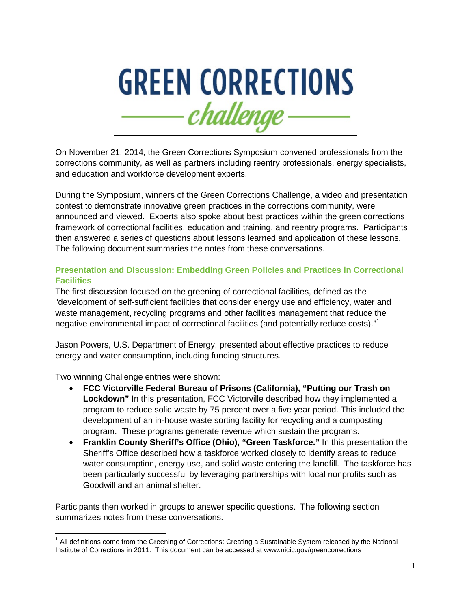

On November 21, 2014, the Green Corrections Symposium convened professionals from the corrections community, as well as partners including reentry professionals, energy specialists, and education and workforce development experts.

During the Symposium, winners of the Green Corrections Challenge, a video and presentation contest to demonstrate innovative green practices in the corrections community, were announced and viewed. Experts also spoke about best practices within the green corrections framework of correctional facilities, education and training, and reentry programs. Participants then answered a series of questions about lessons learned and application of these lessons. The following document summaries the notes from these conversations.

### **Presentation and Discussion: Embedding Green Policies and Practices in Correctional Facilities**

The first discussion focused on the greening of correctional facilities, defined as the "development of self-sufficient facilities that consider energy use and efficiency, water and waste management, recycling programs and other facilities management that reduce the negative environmental impact of correctional facilities (and potentially reduce costs)."[1](#page-0-0)

Jason Powers, U.S. Department of Energy, presented about effective practices to reduce energy and water consumption, including funding structures.

Two winning Challenge entries were shown:

- **FCC Victorville Federal Bureau of Prisons (California), "Putting our Trash on Lockdown"** In this presentation, FCC Victorville described how they implemented a program to reduce solid waste by 75 percent over a five year period. This included the development of an in-house waste sorting facility for recycling and a composting program. These programs generate revenue which sustain the programs.
- **Franklin County Sheriff's Office (Ohio), "Green Taskforce."** In this presentation the Sheriff's Office described how a taskforce worked closely to identify areas to reduce water consumption, energy use, and solid waste entering the landfill. The taskforce has been particularly successful by leveraging partnerships with local nonprofits such as Goodwill and an animal shelter.

Participants then worked in groups to answer specific questions. The following section summarizes notes from these conversations.

<span id="page-0-0"></span> $1$  All definitions come from the Greening of Corrections: Creating a Sustainable System released by the National Institute of Corrections in 2011. This document can be accessed at www.nicic.gov/greencorrections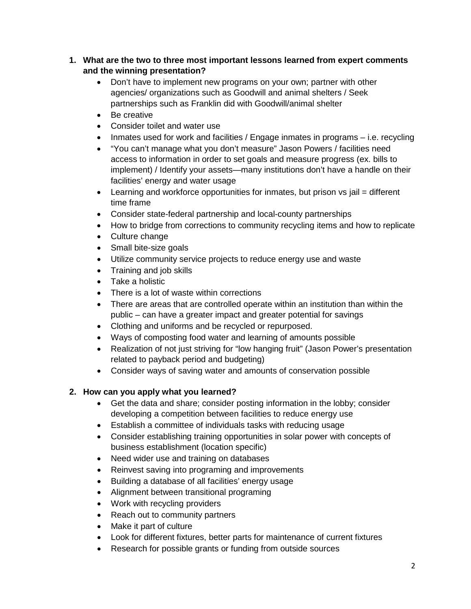## **1. What are the two to three most important lessons learned from expert comments and the winning presentation?**

- Don't have to implement new programs on your own; partner with other agencies/ organizations such as Goodwill and animal shelters / Seek partnerships such as Franklin did with Goodwill/animal shelter
- Be creative
- Consider toilet and water use
- Inmates used for work and facilities / Engage inmates in programs i.e. recycling
- "You can't manage what you don't measure" Jason Powers / facilities need access to information in order to set goals and measure progress (ex. bills to implement) / Identify your assets—many institutions don't have a handle on their facilities' energy and water usage
- Learning and workforce opportunities for inmates, but prison  $vs$  jail = different time frame
- Consider state-federal partnership and local-county partnerships
- How to bridge from corrections to community recycling items and how to replicate
- Culture change
- Small bite-size goals
- Utilize community service projects to reduce energy use and waste
- Training and job skills
- Take a holistic
- There is a lot of waste within corrections
- There are areas that are controlled operate within an institution than within the public – can have a greater impact and greater potential for savings
- Clothing and uniforms and be recycled or repurposed.
- Ways of composting food water and learning of amounts possible
- Realization of not just striving for "low hanging fruit" (Jason Power's presentation related to payback period and budgeting)
- Consider ways of saving water and amounts of conservation possible

# **2. How can you apply what you learned?**

- Get the data and share; consider posting information in the lobby; consider developing a competition between facilities to reduce energy use
- Establish a committee of individuals tasks with reducing usage
- Consider establishing training opportunities in solar power with concepts of business establishment (location specific)
- Need wider use and training on databases
- Reinvest saving into programing and improvements
- Building a database of all facilities' energy usage
- Alignment between transitional programing
- Work with recycling providers
- Reach out to community partners
- Make it part of culture
- Look for different fixtures, better parts for maintenance of current fixtures
- Research for possible grants or funding from outside sources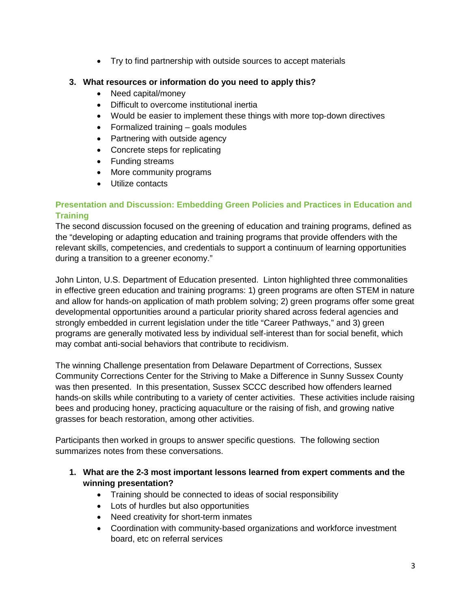• Try to find partnership with outside sources to accept materials

## **3. What resources or information do you need to apply this?**

- Need capital/money
- Difficult to overcome institutional inertia
- Would be easier to implement these things with more top-down directives
- Formalized training goals modules
- Partnering with outside agency
- Concrete steps for replicating
- Funding streams
- More community programs
- Utilize contacts

## **Presentation and Discussion: Embedding Green Policies and Practices in Education and Training**

The second discussion focused on the greening of education and training programs, defined as the "developing or adapting education and training programs that provide offenders with the relevant skills, competencies, and credentials to support a continuum of learning opportunities during a transition to a greener economy."

John Linton, U.S. Department of Education presented. Linton highlighted three commonalities in effective green education and training programs: 1) green programs are often STEM in nature and allow for hands-on application of math problem solving; 2) green programs offer some great developmental opportunities around a particular priority shared across federal agencies and strongly embedded in current legislation under the title "Career Pathways," and 3) green programs are generally motivated less by individual self-interest than for social benefit, which may combat anti-social behaviors that contribute to recidivism.

The winning Challenge presentation from Delaware Department of Corrections, Sussex Community Corrections Center for the Striving to Make a Difference in Sunny Sussex County was then presented. In this presentation, Sussex SCCC described how offenders learned hands-on skills while contributing to a variety of center activities. These activities include raising bees and producing honey, practicing aquaculture or the raising of fish, and growing native grasses for beach restoration, among other activities.

Participants then worked in groups to answer specific questions. The following section summarizes notes from these conversations.

- **1. What are the 2-3 most important lessons learned from expert comments and the winning presentation?**
	- Training should be connected to ideas of social responsibility
	- Lots of hurdles but also opportunities
	- Need creativity for short-term inmates
	- Coordination with community-based organizations and workforce investment board, etc on referral services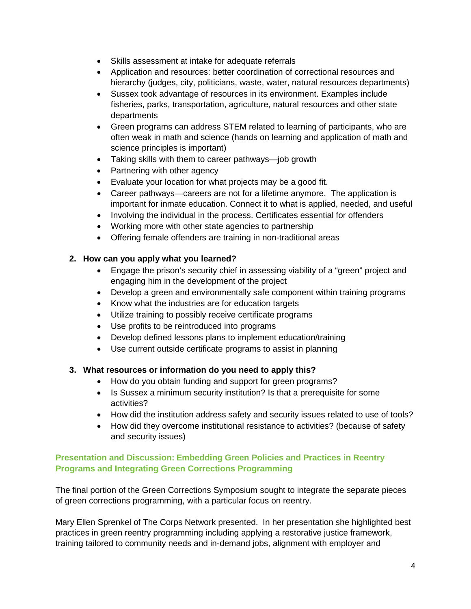- Skills assessment at intake for adequate referrals
- Application and resources: better coordination of correctional resources and hierarchy (judges, city, politicians, waste, water, natural resources departments)
- Sussex took advantage of resources in its environment. Examples include fisheries, parks, transportation, agriculture, natural resources and other state departments
- Green programs can address STEM related to learning of participants, who are often weak in math and science (hands on learning and application of math and science principles is important)
- Taking skills with them to career pathways—job growth
- Partnering with other agency
- Evaluate your location for what projects may be a good fit.
- Career pathways—careers are not for a lifetime anymore. The application is important for inmate education. Connect it to what is applied, needed, and useful
- Involving the individual in the process. Certificates essential for offenders
- Working more with other state agencies to partnership
- Offering female offenders are training in non-traditional areas

#### **2. How can you apply what you learned?**

- Engage the prison's security chief in assessing viability of a "green" project and engaging him in the development of the project
- Develop a green and environmentally safe component within training programs
- Know what the industries are for education targets
- Utilize training to possibly receive certificate programs
- Use profits to be reintroduced into programs
- Develop defined lessons plans to implement education/training
- Use current outside certificate programs to assist in planning

#### **3. What resources or information do you need to apply this?**

- How do you obtain funding and support for green programs?
- Is Sussex a minimum security institution? Is that a prerequisite for some activities?
- How did the institution address safety and security issues related to use of tools?
- How did they overcome institutional resistance to activities? (because of safety and security issues)

#### **Presentation and Discussion: Embedding Green Policies and Practices in Reentry Programs and Integrating Green Corrections Programming**

The final portion of the Green Corrections Symposium sought to integrate the separate pieces of green corrections programming, with a particular focus on reentry.

Mary Ellen Sprenkel of The Corps Network presented. In her presentation she highlighted best practices in green reentry programming including applying a restorative justice framework, training tailored to community needs and in-demand jobs, alignment with employer and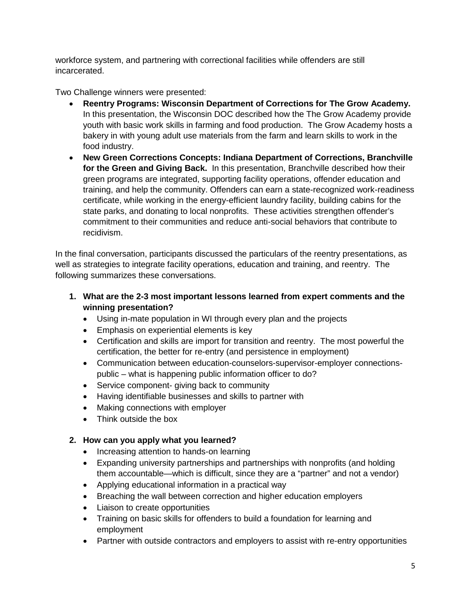workforce system, and partnering with correctional facilities while offenders are still incarcerated.

Two Challenge winners were presented:

- **Reentry Programs: Wisconsin Department of Corrections for The Grow Academy.** In this presentation, the Wisconsin DOC described how the The Grow Academy provide youth with basic work skills in farming and food production. The Grow Academy hosts a bakery in with young adult use materials from the farm and learn skills to work in the food industry.
- **New Green Corrections Concepts: Indiana Department of Corrections, Branchville for the Green and Giving Back.** In this presentation, Branchville described how their green programs are integrated, supporting facility operations, offender education and training, and help the community. Offenders can earn a state-recognized work-readiness certificate, while working in the energy-efficient laundry facility, building cabins for the state parks, and donating to local nonprofits. These activities strengthen offender's commitment to their communities and reduce anti-social behaviors that contribute to recidivism.

In the final conversation, participants discussed the particulars of the reentry presentations, as well as strategies to integrate facility operations, education and training, and reentry. The following summarizes these conversations.

- **1. What are the 2-3 most important lessons learned from expert comments and the winning presentation?**
	- Using in-mate population in WI through every plan and the projects
	- Emphasis on experiential elements is key
	- Certification and skills are import for transition and reentry. The most powerful the certification, the better for re-entry (and persistence in employment)
	- Communication between education-counselors-supervisor-employer connectionspublic – what is happening public information officer to do?
	- Service component- giving back to community
	- Having identifiable businesses and skills to partner with
	- Making connections with employer
	- Think outside the box

## **2. How can you apply what you learned?**

- Increasing attention to hands-on learning
- Expanding university partnerships and partnerships with nonprofits (and holding them accountable—which is difficult, since they are a "partner" and not a vendor)
- Applying educational information in a practical way
- Breaching the wall between correction and higher education employers
- Liaison to create opportunities
- Training on basic skills for offenders to build a foundation for learning and employment
- Partner with outside contractors and employers to assist with re-entry opportunities